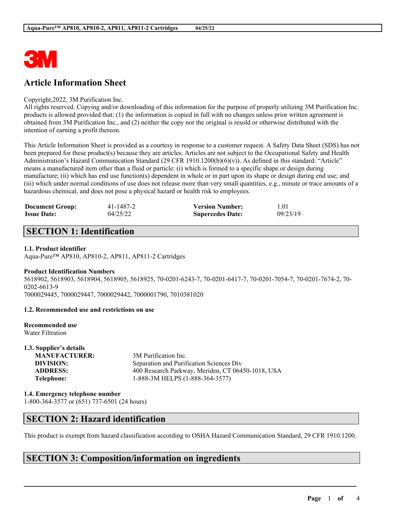

# **Article Information Sheet**

### Copyright,2022, 3M Purification Inc.

All rights reserved. Copying and/or downloading of this information for the purpose of properly utilizing 3M Purification Inc. products is allowed provided that: (1) the information is copied in full with no changes unless prior written agreement is obtained from 3M Purification Inc., and (2) neither the copy nor the original is resold or otherwise distributed with the intention of earning a profit thereon.

This Article Information Sheet is provided as a courtesy in response to a customer request. A Safety Data Sheet (SDS) has not been prepared for these product(s) because they are articles. Articles are not subject to the Occupational Safety and Health Administration's Hazard Communication Standard (29 CFR 1910.1200(b)(6)(v)). As defined in this standard: "Article" means a manufactured item other than a fluid or particle: (i) which is formed to a specific shape or design during manufacture; (ii) which has end use function(s) dependent in whole or in part upon its shape or design during end use; and (iii) which under normal conditions of use does not release more than very small quantities, e.g., minute or trace amounts of a hazardous chemical, and does not pose a physical hazard or health risk to employees.

| <b>Document Group:</b> | 41-1487-2 | <b>Version Number:</b>  | 1.01     |
|------------------------|-----------|-------------------------|----------|
| <b>Issue Date:</b>     | 04/25/22  | <b>Supercedes Date:</b> | 09/23/19 |

# **SECTION 1: Identification**

### **1.1. Product identifier**

Aqua-Pure™ AP810, AP810-2, AP811, AP811-2 Cartridges

# **Product Identification Numbers**

5618902, 5618903, 5618904, 5618905, 5618925, 70-0201-6243-7, 70-0201-6417-7, 70-0201-7054-7, 70-0201-7674-2, 70- 0202-6613-9

7000029445, 7000029447, 7000029442, 7000001790, 7010381020

#### **1.2. Recommended use and restrictions on use**

#### **Recommended use** Water Filtration

**1.3. Supplier's details MANUFACTURER:** 3M Purification Inc. **DIVISION:** Separation and Purification Sciences Div<br> **ADDRESS:** 400 Research Parkway Meriden. CT 064 **ADDRESS:** 400 Research Parkway, Meriden, CT 06450-1018, USA **Telephone:** 1-888-3M HELPS (1-888-364-3577)

**1.4. Emergency telephone number**

1-800-364-3577 or (651) 737-6501 (24 hours)

### **SECTION 2: Hazard identification**

This product is exempt from hazard classification according to OSHA Hazard Communication Standard, 29 CFR 1910.1200.

 $\mathcal{L}_\mathcal{L} = \mathcal{L}_\mathcal{L} = \mathcal{L}_\mathcal{L} = \mathcal{L}_\mathcal{L} = \mathcal{L}_\mathcal{L} = \mathcal{L}_\mathcal{L} = \mathcal{L}_\mathcal{L} = \mathcal{L}_\mathcal{L} = \mathcal{L}_\mathcal{L} = \mathcal{L}_\mathcal{L} = \mathcal{L}_\mathcal{L} = \mathcal{L}_\mathcal{L} = \mathcal{L}_\mathcal{L} = \mathcal{L}_\mathcal{L} = \mathcal{L}_\mathcal{L} = \mathcal{L}_\mathcal{L} = \mathcal{L}_\mathcal{L}$ 

### **SECTION 3: Composition/information on ingredients**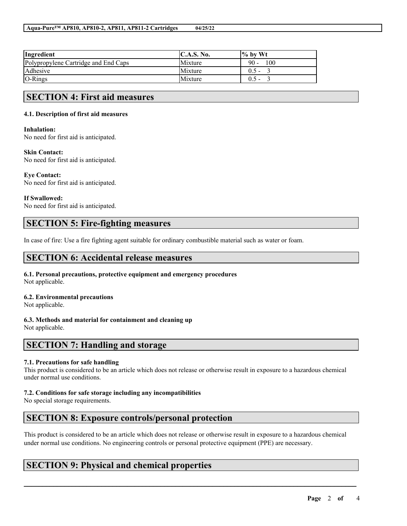| Ingredient                           | $\mathbf{C}.\mathbf{A}.\mathbf{S}.\mathbf{No}.$ | $\frac{1}{6}$ by Wt |
|--------------------------------------|-------------------------------------------------|---------------------|
| Polypropylene Cartridge and End Caps | Mixture                                         | $90 -$<br>100       |
| Adhesive                             | Mixture                                         | $0.5 -$             |
| $O-Rings$                            | Mixture                                         | $0.5 -$             |

### **SECTION 4: First aid measures**

### **4.1. Description of first aid measures**

#### **Inhalation:**

No need for first aid is anticipated.

### **Skin Contact:**

No need for first aid is anticipated.

### **Eye Contact:**

No need for first aid is anticipated.

### **If Swallowed:**

No need for first aid is anticipated.

# **SECTION 5: Fire-fighting measures**

In case of fire: Use a fire fighting agent suitable for ordinary combustible material such as water or foam.

# **SECTION 6: Accidental release measures**

**6.1. Personal precautions, protective equipment and emergency procedures** Not applicable.

### **6.2. Environmental precautions**

Not applicable.

#### **6.3. Methods and material for containment and cleaning up** Not applicable.

### **SECTION 7: Handling and storage**

### **7.1. Precautions for safe handling**

This product is considered to be an article which does not release or otherwise result in exposure to a hazardous chemical under normal use conditions.

### **7.2. Conditions for safe storage including any incompatibilities**

No special storage requirements.

# **SECTION 8: Exposure controls/personal protection**

This product is considered to be an article which does not release or otherwise result in exposure to a hazardous chemical under normal use conditions. No engineering controls or personal protective equipment (PPE) are necessary.

 $\mathcal{L}_\mathcal{L} = \mathcal{L}_\mathcal{L} = \mathcal{L}_\mathcal{L} = \mathcal{L}_\mathcal{L} = \mathcal{L}_\mathcal{L} = \mathcal{L}_\mathcal{L} = \mathcal{L}_\mathcal{L} = \mathcal{L}_\mathcal{L} = \mathcal{L}_\mathcal{L} = \mathcal{L}_\mathcal{L} = \mathcal{L}_\mathcal{L} = \mathcal{L}_\mathcal{L} = \mathcal{L}_\mathcal{L} = \mathcal{L}_\mathcal{L} = \mathcal{L}_\mathcal{L} = \mathcal{L}_\mathcal{L} = \mathcal{L}_\mathcal{L}$ 

# **SECTION 9: Physical and chemical properties**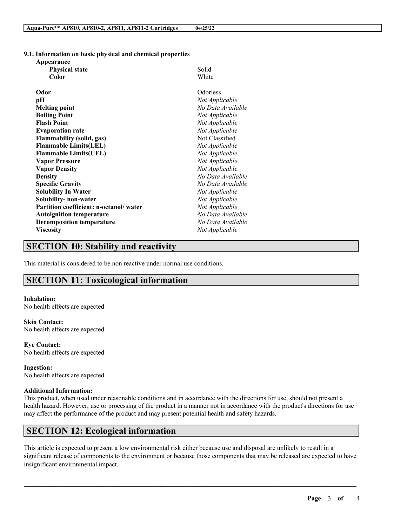### **9.1. Information on basic physical and chemical properties**

| Appearance                             |                   |
|----------------------------------------|-------------------|
| <b>Physical state</b>                  | Solid             |
| Color                                  | White             |
| Odor                                   | Odorless          |
| pН                                     | Not Applicable    |
| <b>Melting point</b>                   | No Data Available |
| <b>Boiling Point</b>                   | Not Applicable    |
| <b>Flash Point</b>                     | Not Applicable    |
| <b>Evaporation rate</b>                | Not Applicable    |
| <b>Flammability (solid, gas)</b>       | Not Classified    |
| <b>Flammable Limits(LEL)</b>           | Not Applicable    |
| <b>Flammable Limits(UEL)</b>           | Not Applicable    |
| <b>Vapor Pressure</b>                  | Not Applicable    |
| <b>Vapor Density</b>                   | Not Applicable    |
| <b>Density</b>                         | No Data Available |
| <b>Specific Gravity</b>                | No Data Available |
| <b>Solubility In Water</b>             | Not Applicable    |
| Solubility-non-water                   | Not Applicable    |
| Partition coefficient: n-octanol/water | Not Applicable    |
| <b>Autoignition temperature</b>        | No Data Available |
| <b>Decomposition temperature</b>       | No Data Available |
| <b>Viscosity</b>                       | Not Applicable    |

# **SECTION 10: Stability and reactivity**

This material is considered to be non reactive under normal use conditions.

# **SECTION 11: Toxicological information**

**Inhalation:** No health effects are expected

**Skin Contact:** No health effects are expected

**Eye Contact:** No health effects are expected

**Ingestion:** No health effects are expected

### **Additional Information:**

This product, when used under reasonable conditions and in accordance with the directions for use, should not present a health hazard. However, use or processing of the product in a manner not in accordance with the product's directions for use may affect the performance of the product and may present potential health and safety hazards.

### **SECTION 12: Ecological information**

This article is expected to present a low environmental risk either because use and disposal are unlikely to result in a significant release of components to the environment or because those components that may be released are expected to have insignificant environmental impact.

 $\mathcal{L}_\mathcal{L} = \mathcal{L}_\mathcal{L} = \mathcal{L}_\mathcal{L} = \mathcal{L}_\mathcal{L} = \mathcal{L}_\mathcal{L} = \mathcal{L}_\mathcal{L} = \mathcal{L}_\mathcal{L} = \mathcal{L}_\mathcal{L} = \mathcal{L}_\mathcal{L} = \mathcal{L}_\mathcal{L} = \mathcal{L}_\mathcal{L} = \mathcal{L}_\mathcal{L} = \mathcal{L}_\mathcal{L} = \mathcal{L}_\mathcal{L} = \mathcal{L}_\mathcal{L} = \mathcal{L}_\mathcal{L} = \mathcal{L}_\mathcal{L}$